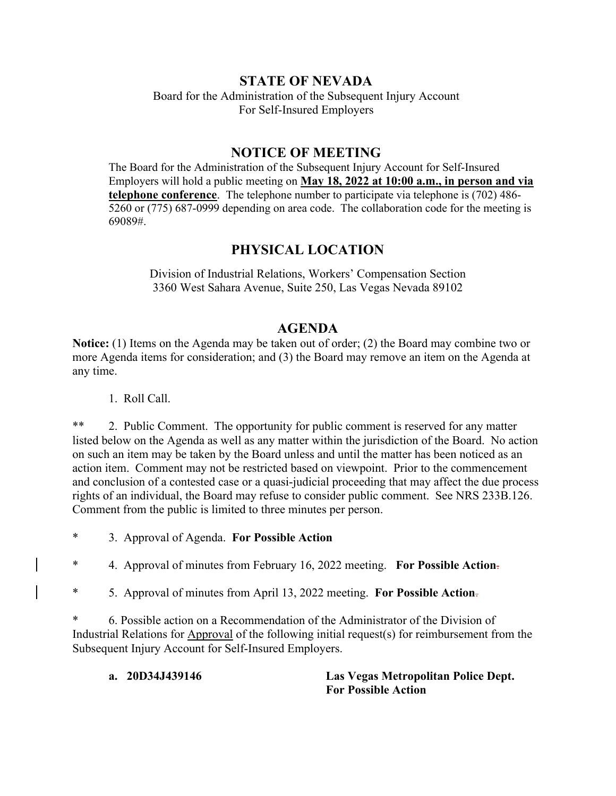## **STATE OF NEVADA**

Board for the Administration of the Subsequent Injury Account For Self-Insured Employers

## **NOTICE OF MEETING**

The Board for the Administration of the Subsequent Injury Account for Self-Insured Employers will hold a public meeting on **May 18, 2022 at 10:00 a.m., in person and via telephone conference**. The telephone number to participate via telephone is (702) 486- 5260 or (775) 687-0999 depending on area code. The collaboration code for the meeting is 69089#.

# **PHYSICAL LOCATION**

Division of Industrial Relations, Workers' Compensation Section 3360 West Sahara Avenue, Suite 250, Las Vegas Nevada 89102

## **AGENDA**

**Notice:** (1) Items on the Agenda may be taken out of order; (2) the Board may combine two or more Agenda items for consideration; and (3) the Board may remove an item on the Agenda at any time.

1. Roll Call.

\*\* 2. Public Comment. The opportunity for public comment is reserved for any matter listed below on the Agenda as well as any matter within the jurisdiction of the Board. No action on such an item may be taken by the Board unless and until the matter has been noticed as an action item. Comment may not be restricted based on viewpoint. Prior to the commencement and conclusion of a contested case or a quasi-judicial proceeding that may affect the due process rights of an individual, the Board may refuse to consider public comment. See NRS 233B.126. Comment from the public is limited to three minutes per person.

\* 3. Approval of Agenda. **For Possible Action**

\* 4. Approval of minutes from February 16, 2022 meeting. **For Possible Action**.

\* 5. Approval of minutes from April 13, 2022 meeting. **For Possible Action**.

\* 6. Possible action on a Recommendation of the Administrator of the Division of Industrial Relations for Approval of the following initial request(s) for reimbursement from the Subsequent Injury Account for Self-Insured Employers.

**a. 20D34J439146 Las Vegas Metropolitan Police Dept. For Possible Action**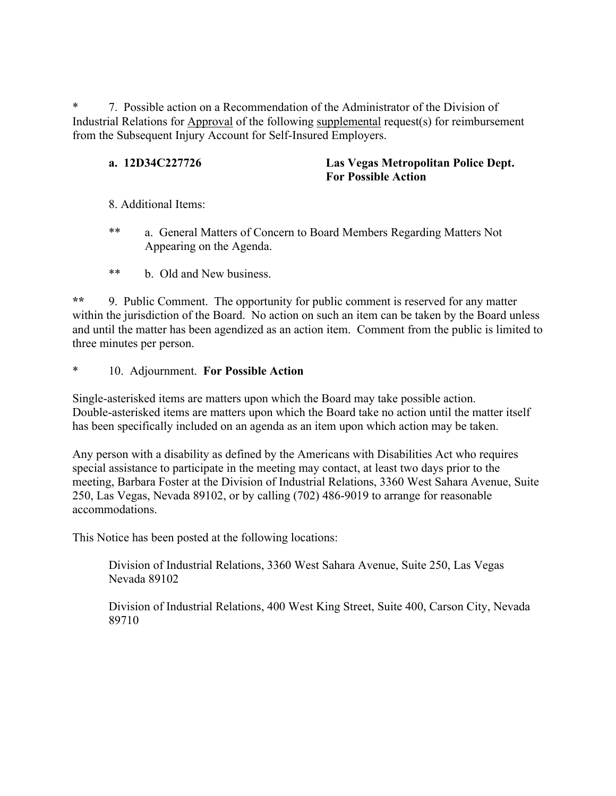\* 7. Possible action on a Recommendation of the Administrator of the Division of Industrial Relations for Approval of the following supplemental request(s) for reimbursement from the Subsequent Injury Account for Self-Insured Employers.

**a. 12D34C227726 Las Vegas Metropolitan Police Dept. For Possible Action**

- 8. Additional Items:
- \*\* a. General Matters of Concern to Board Members Regarding Matters Not Appearing on the Agenda.
- \*\* b. Old and New business.

**\*\*** 9. Public Comment. The opportunity for public comment is reserved for any matter within the jurisdiction of the Board. No action on such an item can be taken by the Board unless and until the matter has been agendized as an action item. Comment from the public is limited to three minutes per person.

\* 10. Adjournment. **For Possible Action** 

Single-asterisked items are matters upon which the Board may take possible action. Double-asterisked items are matters upon which the Board take no action until the matter itself has been specifically included on an agenda as an item upon which action may be taken.

Any person with a disability as defined by the Americans with Disabilities Act who requires special assistance to participate in the meeting may contact, at least two days prior to the meeting, Barbara Foster at the Division of Industrial Relations, 3360 West Sahara Avenue, Suite 250, Las Vegas, Nevada 89102, or by calling (702) 486-9019 to arrange for reasonable accommodations.

This Notice has been posted at the following locations:

Division of Industrial Relations, 3360 West Sahara Avenue, Suite 250, Las Vegas Nevada 89102

Division of Industrial Relations, 400 West King Street, Suite 400, Carson City, Nevada 89710